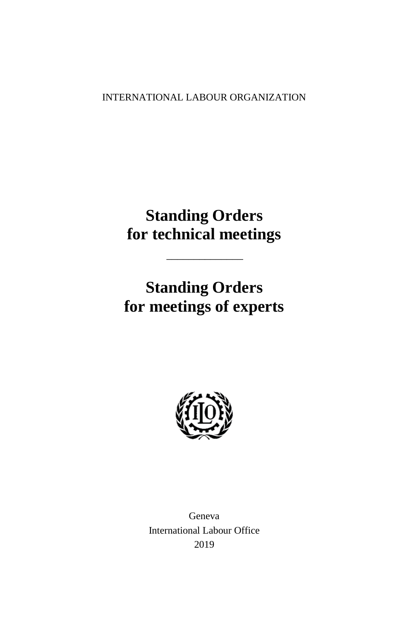INTERNATIONAL LABOUR ORGANIZATION

# **Standing Orders for technical meetings**

 $\overline{\phantom{a}}$  , where  $\overline{\phantom{a}}$ 

# **Standing Orders for meetings of experts**



Geneva International Labour Office 2019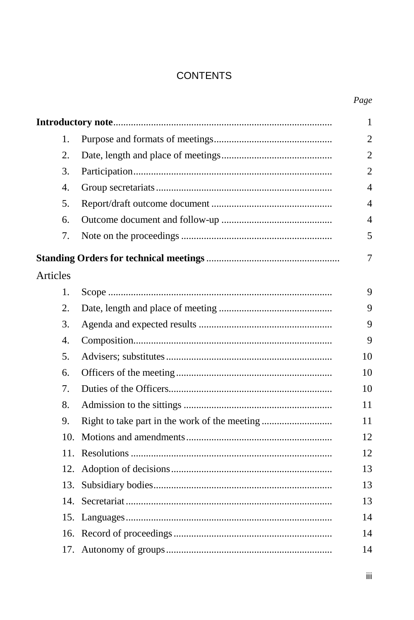## **CONTENTS**

|          |     | $\mathbf{1}$   |
|----------|-----|----------------|
|          | 1.  | $\overline{2}$ |
|          | 2.  | $\overline{2}$ |
|          | 3.  | $\mathfrak{2}$ |
|          | 4.  | $\overline{4}$ |
|          | 5.  | $\overline{4}$ |
|          | б.  | $\overline{4}$ |
|          | 7.  | 5              |
|          |     | 7              |
| Articles |     |                |
|          | 1.  | 9              |
|          | 2.  | 9              |
|          | 3.  | 9              |
|          | 4.  | 9              |
|          | 5.  | 10             |
|          | 6.  | 10             |
|          | 7.  | 10             |
|          | 8.  | 11             |
|          | 9.  | 11             |
|          | 10. | 12             |
|          | 11. | 12             |
|          | 12. | 13             |
|          | 13. | 13             |
|          | 14. | 13             |
|          |     | 14             |
|          |     | 14             |
|          |     | 14             |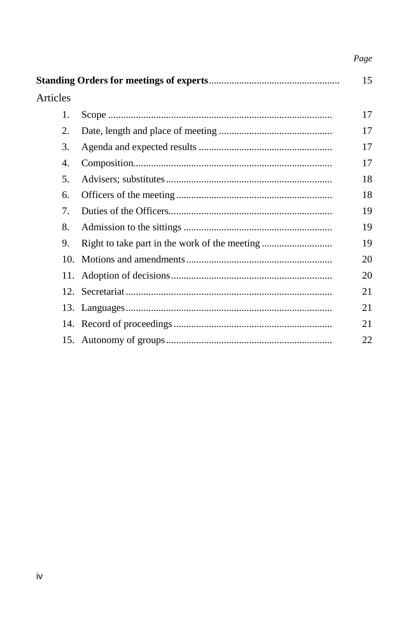## Page

| Articles                                  |  |    |
|-------------------------------------------|--|----|
| 1.                                        |  | 17 |
| 2.                                        |  | 17 |
| 3.                                        |  | 17 |
| 4.                                        |  | 17 |
| 5.                                        |  | 18 |
| 6.                                        |  | 18 |
| $7_{\scriptscriptstyle{\ddot{\text{c}}}}$ |  | 19 |
| 8.                                        |  | 19 |
| 9.                                        |  | 19 |
| 10.                                       |  | 20 |
|                                           |  | 20 |
|                                           |  | 21 |
|                                           |  | 21 |
|                                           |  | 21 |
|                                           |  | 22 |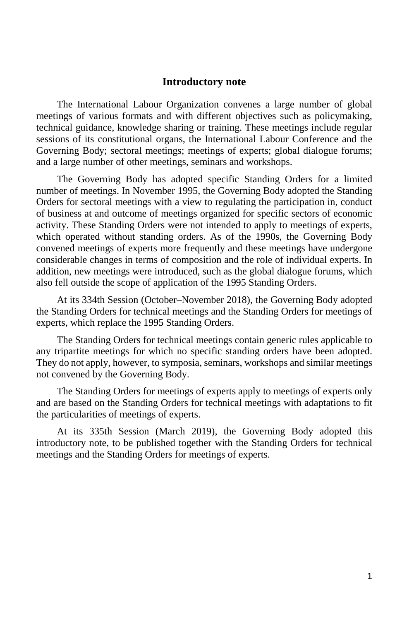#### **Introductory note**

<span id="page-4-0"></span>The International Labour Organization convenes a large number of global meetings of various formats and with different objectives such as policymaking, technical guidance, knowledge sharing or training. These meetings include regular sessions of its constitutional organs, the International Labour Conference and the Governing Body; sectoral meetings; meetings of experts; global dialogue forums; and a large number of other meetings, seminars and workshops.

The Governing Body has adopted specific Standing Orders for a limited number of meetings. In November 1995, the Governing Body adopted the Standing Orders for sectoral meetings with a view to regulating the participation in, conduct of business at and outcome of meetings organized for specific sectors of economic activity. These Standing Orders were not intended to apply to meetings of experts, which operated without standing orders. As of the 1990s, the Governing Body convened meetings of experts more frequently and these meetings have undergone considerable changes in terms of composition and the role of individual experts. In addition, new meetings were introduced, such as the global dialogue forums, which also fell outside the scope of application of the 1995 Standing Orders.

At its 334th Session (October–November 2018), the Governing Body adopted the Standing Orders for technical meetings and the Standing Orders for meetings of experts, which replace the 1995 Standing Orders.

The Standing Orders for technical meetings contain generic rules applicable to any tripartite meetings for which no specific standing orders have been adopted. They do not apply, however, to symposia, seminars, workshops and similar meetings not convened by the Governing Body.

The Standing Orders for meetings of experts apply to meetings of experts only and are based on the Standing Orders for technical meetings with adaptations to fit the particularities of meetings of experts.

At its 335th Session (March 2019), the Governing Body adopted this introductory note, to be published together with the Standing Orders for technical meetings and the Standing Orders for meetings of experts.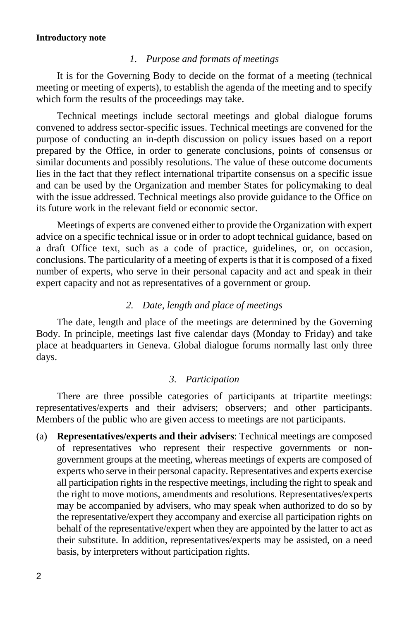#### **Introductory note**

#### *1. Purpose and formats of meetings*

<span id="page-5-0"></span>It is for the Governing Body to decide on the format of a meeting (technical meeting or meeting of experts), to establish the agenda of the meeting and to specify which form the results of the proceedings may take.

Technical meetings include sectoral meetings and global dialogue forums convened to address sector-specific issues. Technical meetings are convened for the purpose of conducting an in-depth discussion on policy issues based on a report prepared by the Office, in order to generate conclusions, points of consensus or similar documents and possibly resolutions. The value of these outcome documents lies in the fact that they reflect international tripartite consensus on a specific issue and can be used by the Organization and member States for policymaking to deal with the issue addressed. Technical meetings also provide guidance to the Office on its future work in the relevant field or economic sector.

Meetings of experts are convened either to provide the Organization with expert advice on a specific technical issue or in order to adopt technical guidance, based on a draft Office text, such as a code of practice, guidelines, or, on occasion, conclusions. The particularity of a meeting of experts is that it is composed of a fixed number of experts, who serve in their personal capacity and act and speak in their expert capacity and not as representatives of a government or group.

#### *2. Date, length and place of meetings*

<span id="page-5-1"></span>The date, length and place of the meetings are determined by the Governing Body. In principle, meetings last five calendar days (Monday to Friday) and take place at headquarters in Geneva. Global dialogue forums normally last only three days.

#### *3. Participation*

<span id="page-5-2"></span>There are three possible categories of participants at tripartite meetings: representatives/experts and their advisers; observers; and other participants. Members of the public who are given access to meetings are not participants.

(a) **Representatives/experts and their advisers**: Technical meetings are composed of representatives who represent their respective governments or nongovernment groups at the meeting, whereas meetings of experts are composed of experts who serve in their personal capacity. Representatives and experts exercise all participation rights in the respective meetings, including the right to speak and the right to move motions, amendments and resolutions. Representatives/experts may be accompanied by advisers, who may speak when authorized to do so by the representative/expert they accompany and exercise all participation rights on behalf of the representative/expert when they are appointed by the latter to act as their substitute. In addition, representatives/experts may be assisted, on a need basis, by interpreters without participation rights.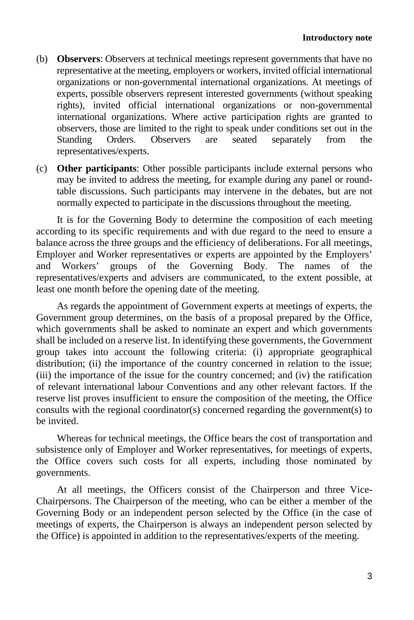- (b) **Observers**: Observers at technical meetings represent governments that have no representative at the meeting, employers or workers, invited official international organizations or non-governmental international organizations. At meetings of experts, possible observers represent interested governments (without speaking rights), invited official international organizations or non-governmental international organizations. Where active participation rights are granted to observers, those are limited to the right to speak under conditions set out in the Standing Orders. Observers are seated separately from the representatives/experts.
- (c) **Other participants**: Other possible participants include external persons who may be invited to address the meeting, for example during any panel or roundtable discussions. Such participants may intervene in the debates, but are not normally expected to participate in the discussions throughout the meeting.

It is for the Governing Body to determine the composition of each meeting according to its specific requirements and with due regard to the need to ensure a balance across the three groups and the efficiency of deliberations. For all meetings, Employer and Worker representatives or experts are appointed by the Employers' and Workers' groups of the Governing Body. The names of the representatives/experts and advisers are communicated, to the extent possible, at least one month before the opening date of the meeting.

As regards the appointment of Government experts at meetings of experts, the Government group determines, on the basis of a proposal prepared by the Office, which governments shall be asked to nominate an expert and which governments shall be included on a reserve list. In identifying these governments, the Government group takes into account the following criteria: (i) appropriate geographical distribution; (ii) the importance of the country concerned in relation to the issue; (iii) the importance of the issue for the country concerned; and (iv) the ratification of relevant international labour Conventions and any other relevant factors. If the reserve list proves insufficient to ensure the composition of the meeting, the Office consults with the regional coordinator(s) concerned regarding the government(s) to be invited.

Whereas for technical meetings, the Office bears the cost of transportation and subsistence only of Employer and Worker representatives, for meetings of experts, the Office covers such costs for all experts, including those nominated by governments.

At all meetings, the Officers consist of the Chairperson and three Vice-Chairpersons. The Chairperson of the meeting, who can be either a member of the Governing Body or an independent person selected by the Office (in the case of meetings of experts, the Chairperson is always an independent person selected by the Office) is appointed in addition to the representatives/experts of the meeting.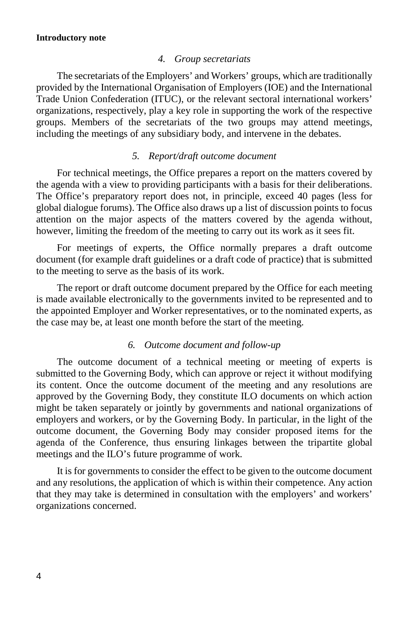#### **Introductory note**

#### *4. Group secretariats*

<span id="page-7-0"></span>The secretariats of the Employers' and Workers' groups, which are traditionally provided by the International Organisation of Employers (IOE) and the International Trade Union Confederation (ITUC), or the relevant sectoral international workers' organizations, respectively, play a key role in supporting the work of the respective groups. Members of the secretariats of the two groups may attend meetings, including the meetings of any subsidiary body, and intervene in the debates.

#### *5. Report/draft outcome document*

<span id="page-7-1"></span>For technical meetings, the Office prepares a report on the matters covered by the agenda with a view to providing participants with a basis for their deliberations. The Office's preparatory report does not, in principle, exceed 40 pages (less for global dialogue forums). The Office also draws up a list of discussion points to focus attention on the major aspects of the matters covered by the agenda without, however, limiting the freedom of the meeting to carry out its work as it sees fit.

For meetings of experts, the Office normally prepares a draft outcome document (for example draft guidelines or a draft code of practice) that is submitted to the meeting to serve as the basis of its work.

The report or draft outcome document prepared by the Office for each meeting is made available electronically to the governments invited to be represented and to the appointed Employer and Worker representatives, or to the nominated experts, as the case may be, at least one month before the start of the meeting.

#### *6. Outcome document and follow-up*

<span id="page-7-2"></span>The outcome document of a technical meeting or meeting of experts is submitted to the Governing Body, which can approve or reject it without modifying its content. Once the outcome document of the meeting and any resolutions are approved by the Governing Body, they constitute ILO documents on which action might be taken separately or jointly by governments and national organizations of employers and workers, or by the Governing Body. In particular, in the light of the outcome document, the Governing Body may consider proposed items for the agenda of the Conference, thus ensuring linkages between the tripartite global meetings and the ILO's future programme of work.

It is for governments to consider the effect to be given to the outcome document and any resolutions, the application of which is within their competence. Any action that they may take is determined in consultation with the employers' and workers' organizations concerned.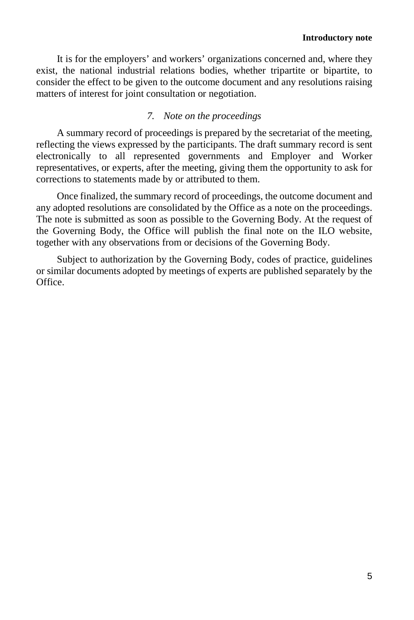It is for the employers' and workers' organizations concerned and, where they exist, the national industrial relations bodies, whether tripartite or bipartite, to consider the effect to be given to the outcome document and any resolutions raising matters of interest for joint consultation or negotiation.

## *7. Note on the proceedings*

<span id="page-8-0"></span>A summary record of proceedings is prepared by the secretariat of the meeting, reflecting the views expressed by the participants. The draft summary record is sent electronically to all represented governments and Employer and Worker representatives, or experts, after the meeting, giving them the opportunity to ask for corrections to statements made by or attributed to them.

Once finalized, the summary record of proceedings, the outcome document and any adopted resolutions are consolidated by the Office as a note on the proceedings. The note is submitted as soon as possible to the Governing Body. At the request of the Governing Body, the Office will publish the final note on the ILO website, together with any observations from or decisions of the Governing Body.

Subject to authorization by the Governing Body, codes of practice, guidelines or similar documents adopted by meetings of experts are published separately by the **Office**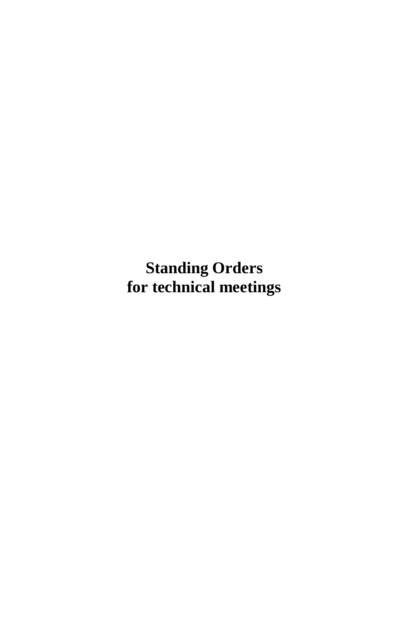<span id="page-10-0"></span>**Standing Orders for technical meetings**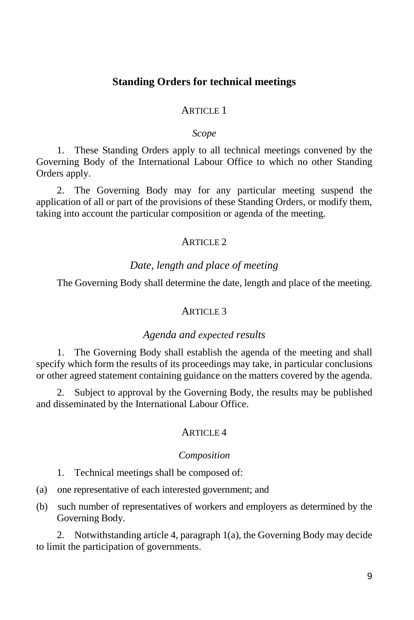## **Standing Orders for technical meetings**

#### ARTICLE 1

#### *Scope*

<span id="page-12-0"></span>1. These Standing Orders apply to all technical meetings convened by the Governing Body of the International Labour Office to which no other Standing Orders apply.

2. The Governing Body may for any particular meeting suspend the application of all or part of the provisions of these Standing Orders, or modify them, taking into account the particular composition or agenda of the meeting.

#### ARTICLE  $2$

## *Date, length and place of meeting*

<span id="page-12-1"></span>The Governing Body shall determine the date, length and place of the meeting.

#### ARTICLE<sub>3</sub>

#### *Agenda and expected results*

<span id="page-12-2"></span>1. The Governing Body shall establish the agenda of the meeting and shall specify which form the results of its proceedings may take, in particular conclusions or other agreed statement containing guidance on the matters covered by the agenda.

2. Subject to approval by the Governing Body, the results may be published and disseminated by the International Labour Office.

#### ARTICLE 4

#### *Composition*

- <span id="page-12-3"></span>1. Technical meetings shall be composed of:
- (a) one representative of each interested government; and
- (b) such number of representatives of workers and employers as determined by the Governing Body.

2. Notwithstanding article 4, paragraph 1(a), the Governing Body may decide to limit the participation of governments.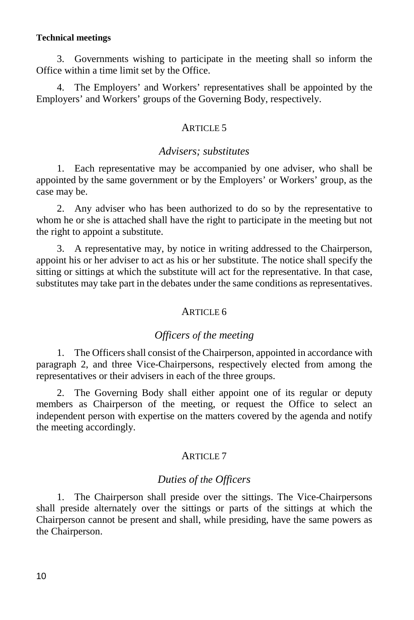#### **Technical meetings**

3. Governments wishing to participate in the meeting shall so inform the Office within a time limit set by the Office.

4. The Employers' and Workers' representatives shall be appointed by the Employers' and Workers' groups of the Governing Body, respectively.

## ARTICLE<sub>5</sub>

#### *Advisers; substitutes*

<span id="page-13-0"></span>1. Each representative may be accompanied by one adviser, who shall be appointed by the same government or by the Employers' or Workers' group, as the case may be.

2. Any adviser who has been authorized to do so by the representative to whom he or she is attached shall have the right to participate in the meeting but not the right to appoint a substitute.

3. A representative may, by notice in writing addressed to the Chairperson, appoint his or her adviser to act as his or her substitute. The notice shall specify the sitting or sittings at which the substitute will act for the representative. In that case, substitutes may take part in the debates under the same conditions as representatives.

#### ARTICLE 6

#### *Officers of the meeting*

<span id="page-13-1"></span>1. The Officers shall consist of the Chairperson, appointed in accordance with paragraph 2, and three Vice-Chairpersons, respectively elected from among the representatives or their advisers in each of the three groups.

2. The Governing Body shall either appoint one of its regular or deputy members as Chairperson of the meeting, or request the Office to select an independent person with expertise on the matters covered by the agenda and notify the meeting accordingly.

#### ARTICLE<sub>7</sub>

## *Duties of the Officers*

<span id="page-13-2"></span>1. The Chairperson shall preside over the sittings. The Vice-Chairpersons shall preside alternately over the sittings or parts of the sittings at which the Chairperson cannot be present and shall, while presiding, have the same powers as the Chairperson.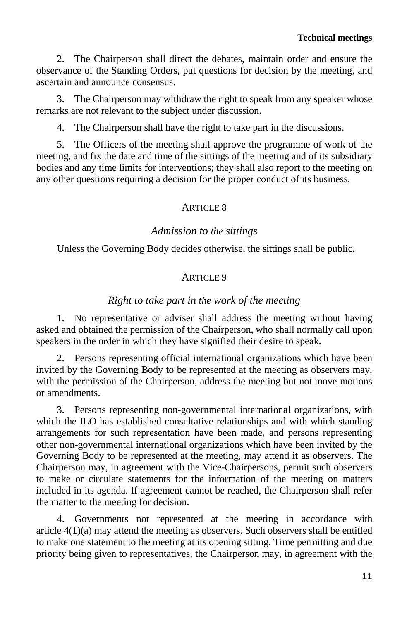2. The Chairperson shall direct the debates, maintain order and ensure the observance of the Standing Orders, put questions for decision by the meeting, and ascertain and announce consensus.

3. The Chairperson may withdraw the right to speak from any speaker whose remarks are not relevant to the subject under discussion.

4. The Chairperson shall have the right to take part in the discussions.

5. The Officers of the meeting shall approve the programme of work of the meeting, and fix the date and time of the sittings of the meeting and of its subsidiary bodies and any time limits for interventions; they shall also report to the meeting on any other questions requiring a decision for the proper conduct of its business.

## $ARTICI$  F  $\overline{R}$

## *Admission to the sittings*

<span id="page-14-0"></span>Unless the Governing Body decides otherwise, the sittings shall be public.

## ARTICLE 9

## *Right to take part in the work of the meeting*

<span id="page-14-1"></span>1. No representative or adviser shall address the meeting without having asked and obtained the permission of the Chairperson, who shall normally call upon speakers in the order in which they have signified their desire to speak.

2. Persons representing official international organizations which have been invited by the Governing Body to be represented at the meeting as observers may, with the permission of the Chairperson, address the meeting but not move motions or amendments.

3. Persons representing non-governmental international organizations, with which the ILO has established consultative relationships and with which standing arrangements for such representation have been made, and persons representing other non-governmental international organizations which have been invited by the Governing Body to be represented at the meeting, may attend it as observers. The Chairperson may, in agreement with the Vice-Chairpersons, permit such observers to make or circulate statements for the information of the meeting on matters included in its agenda. If agreement cannot be reached, the Chairperson shall refer the matter to the meeting for decision.

4. Governments not represented at the meeting in accordance with article 4(1)(a) may attend the meeting as observers. Such observers shall be entitled to make one statement to the meeting at its opening sitting. Time permitting and due priority being given to representatives, the Chairperson may, in agreement with the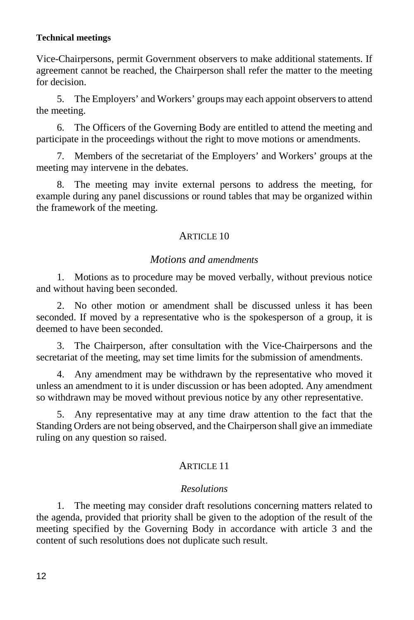#### **Technical meetings**

Vice-Chairpersons, permit Government observers to make additional statements. If agreement cannot be reached, the Chairperson shall refer the matter to the meeting for decision.

5. The Employers' and Workers' groups may each appoint observers to attend the meeting.

6. The Officers of the Governing Body are entitled to attend the meeting and participate in the proceedings without the right to move motions or amendments.

7. Members of the secretariat of the Employers' and Workers' groups at the meeting may intervene in the debates.

8. The meeting may invite external persons to address the meeting, for example during any panel discussions or round tables that may be organized within the framework of the meeting.

#### ARTICLE 10

#### *Motions and amendments*

<span id="page-15-0"></span>1. Motions as to procedure may be moved verbally, without previous notice and without having been seconded.

2. No other motion or amendment shall be discussed unless it has been seconded. If moved by a representative who is the spokesperson of a group, it is deemed to have been seconded.

3. The Chairperson, after consultation with the Vice-Chairpersons and the secretariat of the meeting, may set time limits for the submission of amendments.

4. Any amendment may be withdrawn by the representative who moved it unless an amendment to it is under discussion or has been adopted. Any amendment so withdrawn may be moved without previous notice by any other representative.

5. Any representative may at any time draw attention to the fact that the Standing Orders are not being observed, and the Chairperson shall give an immediate ruling on any question so raised.

#### ARTICLE 11

#### *Resolutions*

<span id="page-15-1"></span>1. The meeting may consider draft resolutions concerning matters related to the agenda, provided that priority shall be given to the adoption of the result of the meeting specified by the Governing Body in accordance with article 3 and the content of such resolutions does not duplicate such result.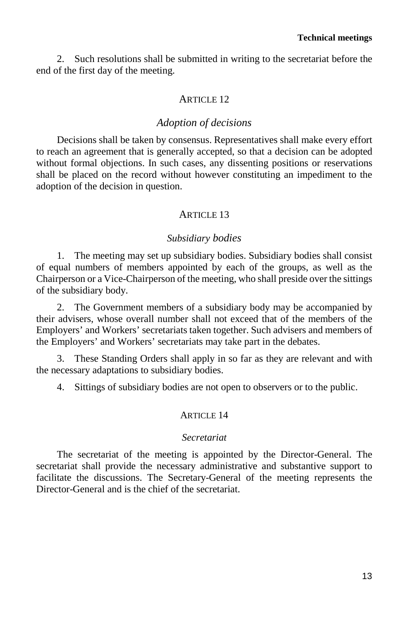2. Such resolutions shall be submitted in writing to the secretariat before the end of the first day of the meeting.

#### ARTICLE 12

#### *Adoption of decisions*

<span id="page-16-0"></span>Decisions shall be taken by consensus. Representatives shall make every effort to reach an agreement that is generally accepted, so that a decision can be adopted without formal objections. In such cases, any dissenting positions or reservations shall be placed on the record without however constituting an impediment to the adoption of the decision in question.

## ARTICLE 13

#### *Subsidiary bodies*

<span id="page-16-1"></span>1. The meeting may set up subsidiary bodies. Subsidiary bodies shall consist of equal numbers of members appointed by each of the groups, as well as the Chairperson or a Vice-Chairperson of the meeting, who shall preside over the sittings of the subsidiary body.

2. The Government members of a subsidiary body may be accompanied by their advisers, whose overall number shall not exceed that of the members of the Employers' and Workers' secretariats taken together. Such advisers and members of the Employers' and Workers' secretariats may take part in the debates.

3. These Standing Orders shall apply in so far as they are relevant and with the necessary adaptations to subsidiary bodies.

4. Sittings of subsidiary bodies are not open to observers or to the public.

#### ARTICLE 14

#### *Secretariat*

<span id="page-16-2"></span>The secretariat of the meeting is appointed by the Director-General. The secretariat shall provide the necessary administrative and substantive support to facilitate the discussions. The Secretary-General of the meeting represents the Director-General and is the chief of the secretariat.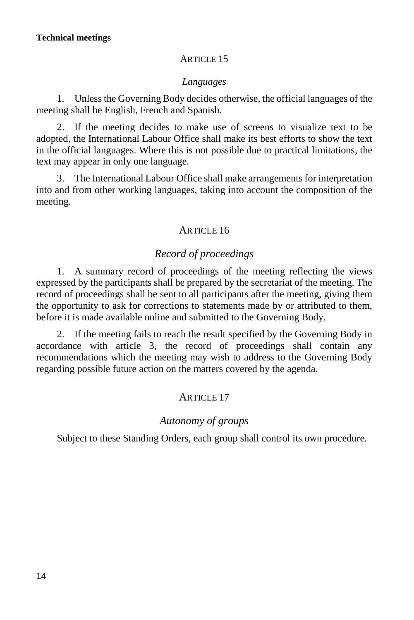#### **ARTICLE 15**

## *Languages*

<span id="page-17-0"></span>1. Unless the Governing Body decides otherwise, the official languages of the meeting shall be English, French and Spanish.

2. If the meeting decides to make use of screens to visualize text to be adopted, the International Labour Office shall make its best efforts to show the text in the official languages. Where this is not possible due to practical limitations, the text may appear in only one language.

3. The International Labour Office shall make arrangements for interpretation into and from other working languages, taking into account the composition of the meeting.

## ARTICLE 16

## *Record of proceedings*

<span id="page-17-1"></span>1. A summary record of proceedings of the meeting reflecting the views expressed by the participants shall be prepared by the secretariat of the meeting. The record of proceedings shall be sent to all participants after the meeting, giving them the opportunity to ask for corrections to statements made by or attributed to them, before it is made available online and submitted to the Governing Body.

2. If the meeting fails to reach the result specified by the Governing Body in accordance with article 3, the record of proceedings shall contain any recommendations which the meeting may wish to address to the Governing Body regarding possible future action on the matters covered by the agenda.

## ARTICLE 17

## *Autonomy of groups*

<span id="page-17-2"></span>Subject to these Standing Orders, each group shall control its own procedure.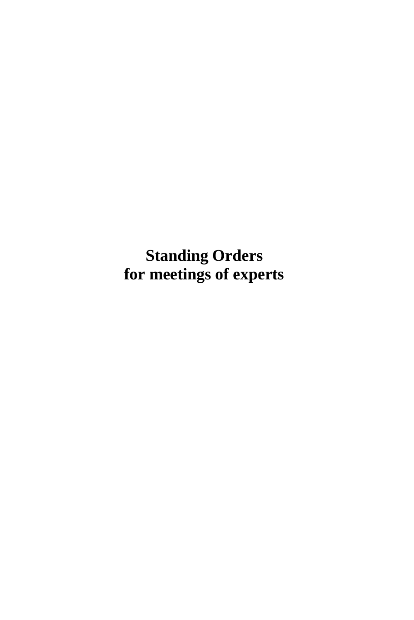<span id="page-18-0"></span>**Standing Orders for meetings of experts**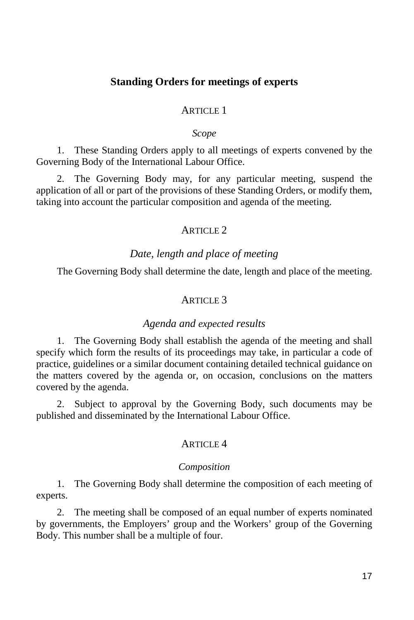## **Standing Orders for meetings of experts**

## ARTICLE 1

#### *Scope*

<span id="page-20-0"></span>1. These Standing Orders apply to all meetings of experts convened by the Governing Body of the International Labour Office.

2. The Governing Body may, for any particular meeting, suspend the application of all or part of the provisions of these Standing Orders, or modify them, taking into account the particular composition and agenda of the meeting.

#### ARTICLE 2

#### *Date, length and place of meeting*

<span id="page-20-1"></span>The Governing Body shall determine the date, length and place of the meeting.

## ARTICLE<sub>3</sub>

#### *Agenda and expected results*

<span id="page-20-2"></span>1. The Governing Body shall establish the agenda of the meeting and shall specify which form the results of its proceedings may take, in particular a code of practice, guidelines or a similar document containing detailed technical guidance on the matters covered by the agenda or, on occasion, conclusions on the matters covered by the agenda.

2. Subject to approval by the Governing Body, such documents may be published and disseminated by the International Labour Office.

## ARTICLE 4

#### *Composition*

<span id="page-20-3"></span>1. The Governing Body shall determine the composition of each meeting of experts.

2. The meeting shall be composed of an equal number of experts nominated by governments, the Employers' group and the Workers' group of the Governing Body. This number shall be a multiple of four.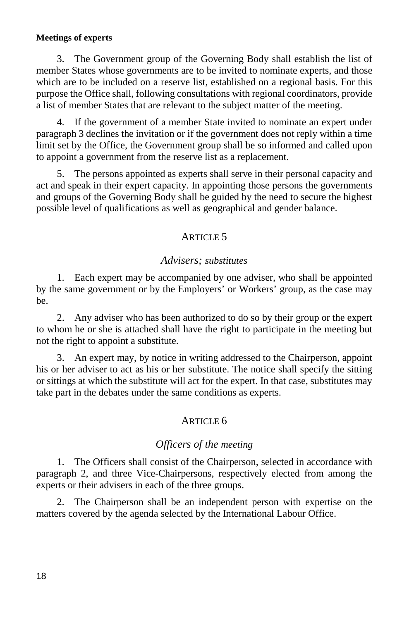#### **Meetings of experts**

3. The Government group of the Governing Body shall establish the list of member States whose governments are to be invited to nominate experts, and those which are to be included on a reserve list, established on a regional basis. For this purpose the Office shall, following consultations with regional coordinators, provide a list of member States that are relevant to the subject matter of the meeting.

4. If the government of a member State invited to nominate an expert under paragraph 3 declines the invitation or if the government does not reply within a time limit set by the Office, the Government group shall be so informed and called upon to appoint a government from the reserve list as a replacement.

5. The persons appointed as experts shall serve in their personal capacity and act and speak in their expert capacity. In appointing those persons the governments and groups of the Governing Body shall be guided by the need to secure the highest possible level of qualifications as well as geographical and gender balance.

## ARTICLE 5

## *Advisers; substitutes*

<span id="page-21-0"></span>1. Each expert may be accompanied by one adviser, who shall be appointed by the same government or by the Employers' or Workers' group, as the case may be.

2. Any adviser who has been authorized to do so by their group or the expert to whom he or she is attached shall have the right to participate in the meeting but not the right to appoint a substitute.

3. An expert may, by notice in writing addressed to the Chairperson, appoint his or her adviser to act as his or her substitute. The notice shall specify the sitting or sittings at which the substitute will act for the expert. In that case, substitutes may take part in the debates under the same conditions as experts.

## ARTICLE 6

## *Officers of the meeting*

<span id="page-21-1"></span>1. The Officers shall consist of the Chairperson, selected in accordance with paragraph 2, and three Vice-Chairpersons, respectively elected from among the experts or their advisers in each of the three groups.

2. The Chairperson shall be an independent person with expertise on the matters covered by the agenda selected by the International Labour Office.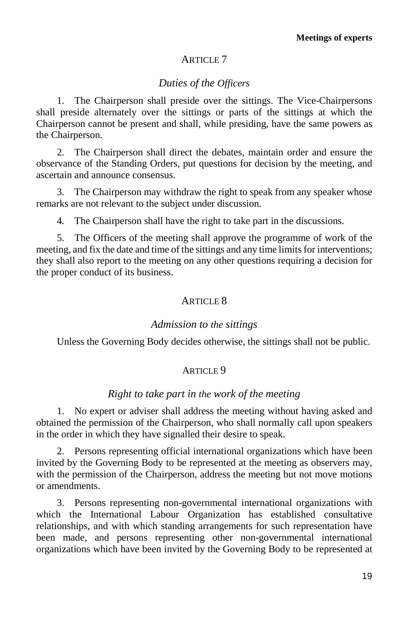## ARTICLE 7

## *Duties of the Officers*

<span id="page-22-0"></span>1. The Chairperson shall preside over the sittings. The Vice-Chairpersons shall preside alternately over the sittings or parts of the sittings at which the Chairperson cannot be present and shall, while presiding, have the same powers as the Chairperson.

2. The Chairperson shall direct the debates, maintain order and ensure the observance of the Standing Orders, put questions for decision by the meeting, and ascertain and announce consensus.

3. The Chairperson may withdraw the right to speak from any speaker whose remarks are not relevant to the subject under discussion.

4. The Chairperson shall have the right to take part in the discussions.

5. The Officers of the meeting shall approve the programme of work of the meeting, and fix the date and time of the sittings and any time limits for interventions; they shall also report to the meeting on any other questions requiring a decision for the proper conduct of its business.

## ARTICLE 8

#### *Admission to the sittings*

<span id="page-22-1"></span>Unless the Governing Body decides otherwise, the sittings shall not be public.

#### ARTICLE 9

## *Right to take part in the work of the meeting*

<span id="page-22-2"></span>1. No expert or adviser shall address the meeting without having asked and obtained the permission of the Chairperson, who shall normally call upon speakers in the order in which they have signalled their desire to speak.

2. Persons representing official international organizations which have been invited by the Governing Body to be represented at the meeting as observers may, with the permission of the Chairperson, address the meeting but not move motions or amendments.

3. Persons representing non-governmental international organizations with which the International Labour Organization has established consultative relationships, and with which standing arrangements for such representation have been made, and persons representing other non-governmental international organizations which have been invited by the Governing Body to be represented at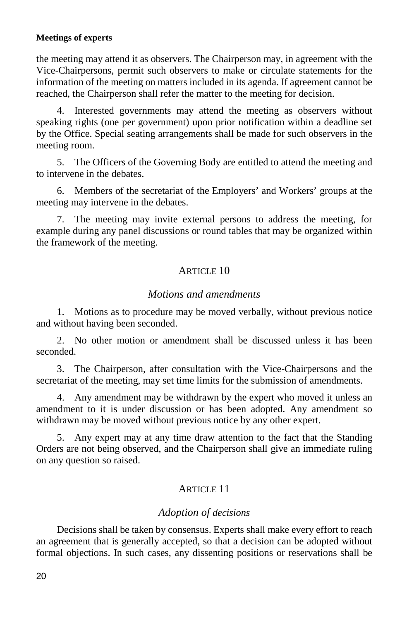### **Meetings of experts**

the meeting may attend it as observers. The Chairperson may, in agreement with the Vice-Chairpersons, permit such observers to make or circulate statements for the information of the meeting on matters included in its agenda. If agreement cannot be reached, the Chairperson shall refer the matter to the meeting for decision.

4. Interested governments may attend the meeting as observers without speaking rights (one per government) upon prior notification within a deadline set by the Office. Special seating arrangements shall be made for such observers in the meeting room.

5. The Officers of the Governing Body are entitled to attend the meeting and to intervene in the debates.

6. Members of the secretariat of the Employers' and Workers' groups at the meeting may intervene in the debates.

7. The meeting may invite external persons to address the meeting, for example during any panel discussions or round tables that may be organized within the framework of the meeting.

## ARTICLE 10

#### *Motions and amendments*

<span id="page-23-0"></span>1. Motions as to procedure may be moved verbally, without previous notice and without having been seconded.

2. No other motion or amendment shall be discussed unless it has been seconded.

3. The Chairperson, after consultation with the Vice-Chairpersons and the secretariat of the meeting, may set time limits for the submission of amendments.

4. Any amendment may be withdrawn by the expert who moved it unless an amendment to it is under discussion or has been adopted. Any amendment so withdrawn may be moved without previous notice by any other expert.

5. Any expert may at any time draw attention to the fact that the Standing Orders are not being observed, and the Chairperson shall give an immediate ruling on any question so raised.

## ARTICLE 11

## *Adoption of decisions*

<span id="page-23-1"></span>Decisions shall be taken by consensus. Experts shall make every effort to reach an agreement that is generally accepted, so that a decision can be adopted without formal objections. In such cases, any dissenting positions or reservations shall be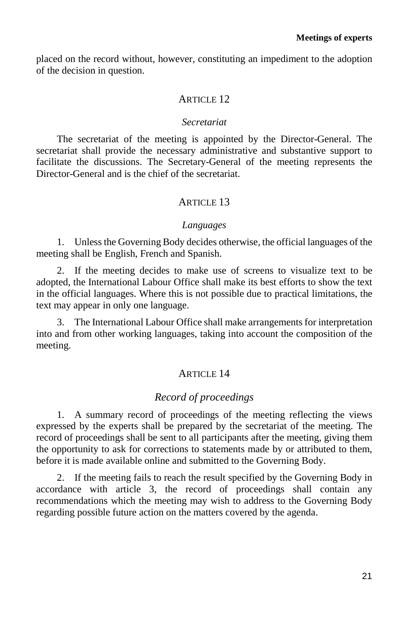placed on the record without, however, constituting an impediment to the adoption of the decision in question.

## ARTICLE 12

#### *Secretariat*

<span id="page-24-0"></span>The secretariat of the meeting is appointed by the Director-General. The secretariat shall provide the necessary administrative and substantive support to facilitate the discussions. The Secretary-General of the meeting represents the Director-General and is the chief of the secretariat.

## **ARTICLE 13**

#### *Languages*

<span id="page-24-1"></span>1. Unless the Governing Body decides otherwise, the official languages of the meeting shall be English, French and Spanish.

2. If the meeting decides to make use of screens to visualize text to be adopted, the International Labour Office shall make its best efforts to show the text in the official languages. Where this is not possible due to practical limitations, the text may appear in only one language.

3. The International Labour Office shall make arrangements for interpretation into and from other working languages, taking into account the composition of the meeting.

#### **ARTICLE 14**

## *Record of proceedings*

<span id="page-24-2"></span>1. A summary record of proceedings of the meeting reflecting the views expressed by the experts shall be prepared by the secretariat of the meeting. The record of proceedings shall be sent to all participants after the meeting, giving them the opportunity to ask for corrections to statements made by or attributed to them, before it is made available online and submitted to the Governing Body.

2. If the meeting fails to reach the result specified by the Governing Body in accordance with article 3, the record of proceedings shall contain any recommendations which the meeting may wish to address to the Governing Body regarding possible future action on the matters covered by the agenda.